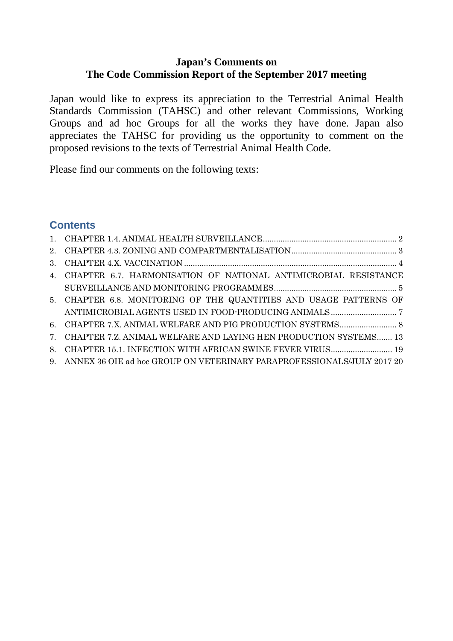# **Japan's Comments on The Code Commission Report of the September 2017 meeting**

Japan would like to express its appreciation to the Terrestrial Animal Health Standards Commission (TAHSC) and other relevant Commissions, Working Groups and ad hoc Groups for all the works they have done. Japan also appreciates the TAHSC for providing us the opportunity to comment on the proposed revisions to the texts of Terrestrial Animal Health Code.

Please find our comments on the following texts:

# **Contents**

| 4. CHAPTER 6.7. HARMONISATION OF NATIONAL ANTIMICROBIAL RESISTANCE        |
|---------------------------------------------------------------------------|
|                                                                           |
| 5. CHAPTER 6.8. MONITORING OF THE QUANTITIES AND USAGE PATTERNS OF        |
|                                                                           |
|                                                                           |
| 7. CHAPTER 7.Z. ANIMAL WELFARE AND LAYING HEN PRODUCTION SYSTEMS 13       |
| 8. CHAPTER 15.1. INFECTION WITH AFRICAN SWINE FEVER VIRUS 19              |
| 9. ANNEX 36 OIE ad hoc GROUP ON VETERINARY PARAPROFESSIONALS/JULY 2017 20 |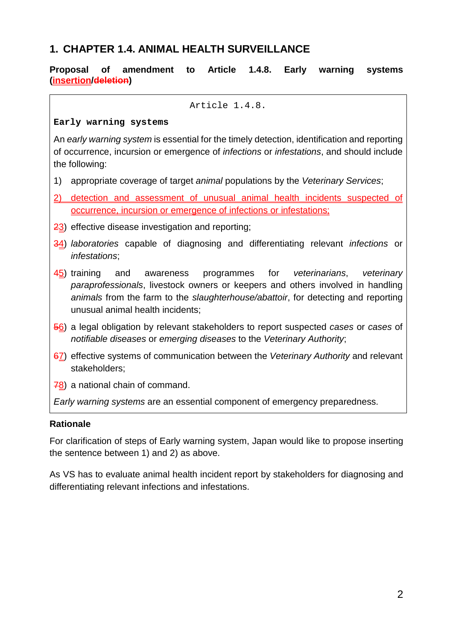# <span id="page-1-0"></span>**1. CHAPTER 1.4. ANIMAL HEALTH SURVEILLANCE**

#### **Proposal of amendment to Article 1.4.8. Early warning systems (insertion/deletion)**

Article 1.4.8.

#### **Early warning systems**

An *early warning system* is essential for the timely detection, identification and reporting of occurrence, incursion or emergence of *infections* or *infestations*, and should include the following:

- 1) appropriate coverage of target *animal* populations by the *Veterinary Services*;
- 2) detection and assessment of unusual animal health incidents suspected of occurrence, incursion or emergence of infections or infestations;
- 23) effective disease investigation and reporting;
- 34) *laboratories* capable of diagnosing and differentiating relevant *infections* or *infestations*;
- 45) training and awareness programmes for *veterinarians*, *veterinary paraprofessionals*, livestock owners or keepers and others involved in handling *animals* from the farm to the *slaughterhouse/abattoir*, for detecting and reporting unusual animal health incidents;
- 56) a legal obligation by relevant stakeholders to report suspected *cases* or *cases* of *notifiable diseases* or *emerging diseases* to the *Veterinary Authority*;
- 67) effective systems of communication between the *Veterinary Authority* and relevant stakeholders;
- 78) a national chain of command.

*Early warning systems* are an essential component of emergency preparedness.

#### **Rationale**

For clarification of steps of Early warning system, Japan would like to propose inserting the sentence between 1) and 2) as above.

As VS has to evaluate animal health incident report by stakeholders for diagnosing and differentiating relevant infections and infestations.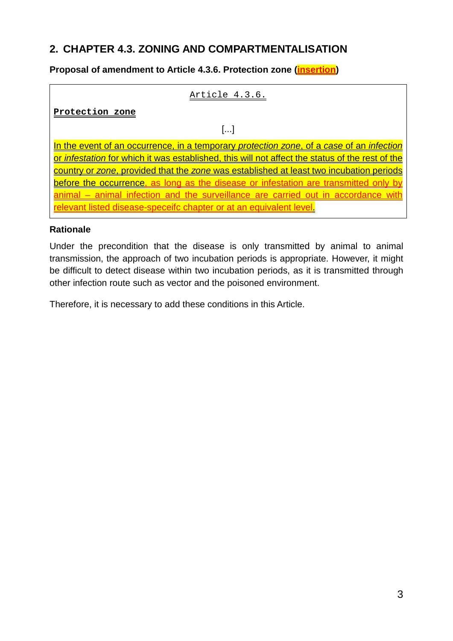# <span id="page-2-0"></span>**2. CHAPTER 4.3. ZONING AND COMPARTMENTALISATION**

## **Proposal of amendment to Article 4.3.6. Protection zone (insertion)**

#### Article 4.3.6.

**Protection zone**

[...]

In the event of an occurrence, in a temporary *protection zone*, of a *case* of an *infection* or *infestation* for which it was established, this will not affect the status of the rest of the country or *zone*, provided that the *zone* was established at least two incubation periods before the occurrence, as long as the disease or infestation are transmitted only by animal – animal infection and the surveillance are carried out in accordance with relevant listed disease-speceifc chapter or at an equivalent level.

#### **Rationale**

Under the precondition that the disease is only transmitted by animal to animal transmission, the approach of two incubation periods is appropriate. However, it might be difficult to detect disease within two incubation periods, as it is transmitted through other infection route such as vector and the poisoned environment.

Therefore, it is necessary to add these conditions in this Article.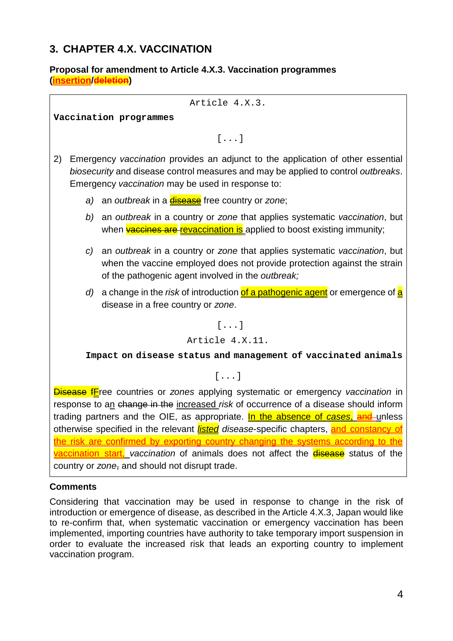# <span id="page-3-0"></span>**3. CHAPTER 4.X. VACCINATION**

#### **Proposal for amendment to Article 4.X.3. Vaccination programmes (insertion/deletion)**

Article 4.X.3.

**Vaccination programmes**

[...]

- 2) Emergency *vaccination* provides an adjunct to the application of other essential *biosecurity* and disease control measures and may be applied to control *outbreaks*. Emergency *vaccination* may be used in response to:
	- a) an *outbreak* in a **disease** free country or zone;
	- *b)* an *outbreak* in a country or *zone* that applies systematic *vaccination*, but when vaccines are revaccination is applied to boost existing immunity;
	- *c)* an *outbreak* in a country or *zone* that applies systematic *vaccination*, but when the vaccine employed does not provide protection against the strain of the pathogenic agent involved in the *outbreak;*
	- d) a change in the *risk* of introduction of a pathogenic agent or emergence of a disease in a free country or *zone*.

[...]

Article 4.X.11.

**Impact on disease status and management of vaccinated animals**

[...]

Disease fFree countries or *zones* applying systematic or emergency *vaccination* in response to an change in the increased *risk* of occurrence of a disease should inform trading partners and the OIE, as appropriate. In the absence of *cases*, and unless otherwise specified in the relevant *listed disease*-specific chapters, and constancy of the risk are confirmed by exporting country changing the systems according to the vaccination start, *vaccination* of animals does not affect the disease status of the country or *zone*, and should not disrupt trade.

#### **Comments**

Considering that vaccination may be used in response to change in the risk of introduction or emergence of disease, as described in the Article 4.X.3, Japan would like to re-confirm that, when systematic vaccination or emergency vaccination has been implemented, importing countries have authority to take temporary import suspension in order to evaluate the increased risk that leads an exporting country to implement vaccination program.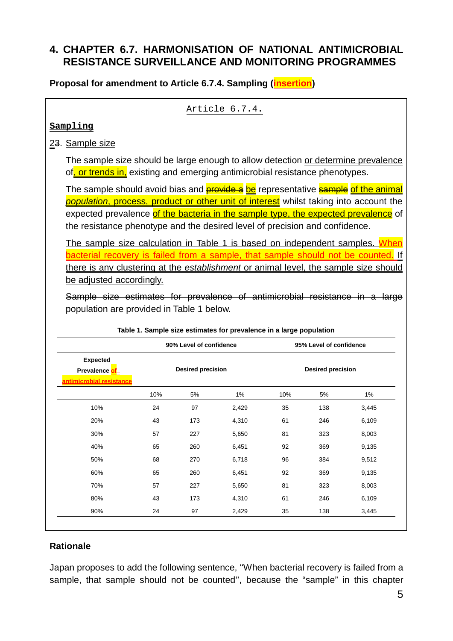# <span id="page-4-0"></span>**4. CHAPTER 6.7. HARMONISATION OF NATIONAL ANTIMICROBIAL RESISTANCE SURVEILLANCE AND MONITORING PROGRAMMES**

**Proposal for amendment to Article 6.7.4. Sampling (insertion)**

Article 6.7.4.

#### **Sampling**

### 23. Sample size

The sample size should be large enough to allow detection or determine prevalence of, or trends in, existing and emerging antimicrobial resistance phenotypes.

The sample should avoid bias and **provide a** be representative **sample of the animal** *population*, process, product or other unit of interest whilst taking into account the expected prevalence of the bacteria in the sample type, the expected prevalence of the resistance phenotype and the desired level of precision and confidence.

The sample size calculation in Table 1 is based on independent samples. When bacterial recovery is failed from a sample, that sample should not be counted. If there is any clustering at the *establishment* or animal level, the sample size should be adjusted accordingly.

Sample size estimates for prevalence of antimicrobial resistance in a large population are provided in Table 1 below.

|                                                              | 90% Level of confidence<br><b>Desired precision</b> |     |       | 95% Level of confidence<br><b>Desired precision</b> |     |       |
|--------------------------------------------------------------|-----------------------------------------------------|-----|-------|-----------------------------------------------------|-----|-------|
| <b>Expected</b><br>Prevalence of<br>antimicrobial resistance |                                                     |     |       |                                                     |     |       |
|                                                              | 10%                                                 | 5%  | 1%    | 10%                                                 | 5%  | 1%    |
| 10%                                                          | 24                                                  | 97  | 2,429 | 35                                                  | 138 | 3,445 |
| 20%                                                          | 43                                                  | 173 | 4,310 | 61                                                  | 246 | 6,109 |
| 30%                                                          | 57                                                  | 227 | 5,650 | 81                                                  | 323 | 8,003 |
| 40%                                                          | 65                                                  | 260 | 6,451 | 92                                                  | 369 | 9,135 |
| 50%                                                          | 68                                                  | 270 | 6,718 | 96                                                  | 384 | 9,512 |
| 60%                                                          | 65                                                  | 260 | 6,451 | 92                                                  | 369 | 9,135 |
| 70%                                                          | 57                                                  | 227 | 5,650 | 81                                                  | 323 | 8,003 |
| 80%                                                          | 43                                                  | 173 | 4,310 | 61                                                  | 246 | 6,109 |
| 90%                                                          | 24                                                  | 97  | 2,429 | 35                                                  | 138 | 3,445 |

#### **Table 1. Sample size estimates for prevalence in a large population**

# **Rationale**

Japan proposes to add the following sentence, ''When bacterial recovery is failed from a sample, that sample should not be counted'', because the "sample" in this chapter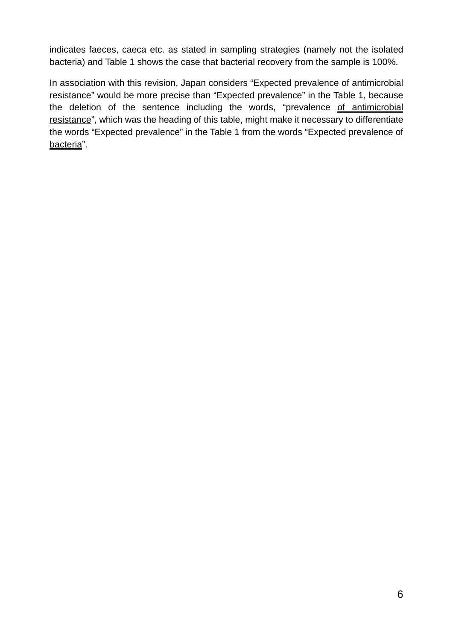indicates faeces, caeca etc. as stated in sampling strategies (namely not the isolated bacteria) and Table 1 shows the case that bacterial recovery from the sample is 100%.

In association with this revision, Japan considers "Expected prevalence of antimicrobial resistance" would be more precise than "Expected prevalence" in the Table 1, because the deletion of the sentence including the words, "prevalence of antimicrobial resistance", which was the heading of this table, might make it necessary to differentiate the words "Expected prevalence" in the Table 1 from the words "Expected prevalence of bacteria".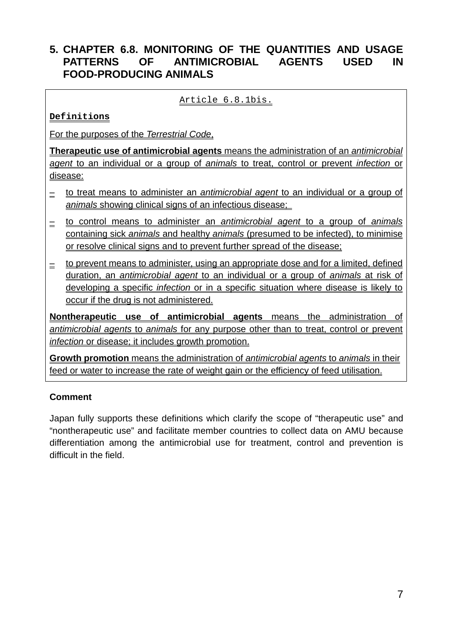# <span id="page-6-0"></span>**5. CHAPTER 6.8. MONITORING OF THE QUANTITIES AND USAGE PATTERNS OF ANTIMICROBIAL AGENTS USED IN FOOD-PRODUCING ANIMALS**

### Article 6.8.1bis.

**Definitions**

For the purposes of the *Terrestrial Code*,

**Therapeutic use of antimicrobial agents** means the administration of an *antimicrobial agent* to an individual or a group of *animals* to treat, control or prevent *infection* or disease:

- ‒ to treat means to administer an *antimicrobial agent* to an individual or a group of *animals* showing clinical signs of an infectious disease;
- ‒ to control means to administer an *antimicrobial agent* to a group of *animals* containing sick *animals* and healthy *animals* (presumed to be infected), to minimise or resolve clinical signs and to prevent further spread of the disease;
- $\equiv$  to prevent means to administer, using an appropriate dose and for a limited, defined duration, an *antimicrobial agent* to an individual or a group of *animals* at risk of developing a specific *infection* or in a specific situation where disease is likely to occur if the drug is not administered.

**Nontherapeutic use of antimicrobial agents** means the administration of *antimicrobial agents* to *animals* for any purpose other than to treat, control or prevent *infection* or disease; it includes growth promotion.

**Growth promotion** means the administration of *antimicrobial agents* to *animals* in their feed or water to increase the rate of weight gain or the efficiency of feed utilisation.

# **Comment**

Japan fully supports these definitions which clarify the scope of "therapeutic use" and "nontherapeutic use" and facilitate member countries to collect data on AMU because differentiation among the antimicrobial use for treatment, control and prevention is difficult in the field.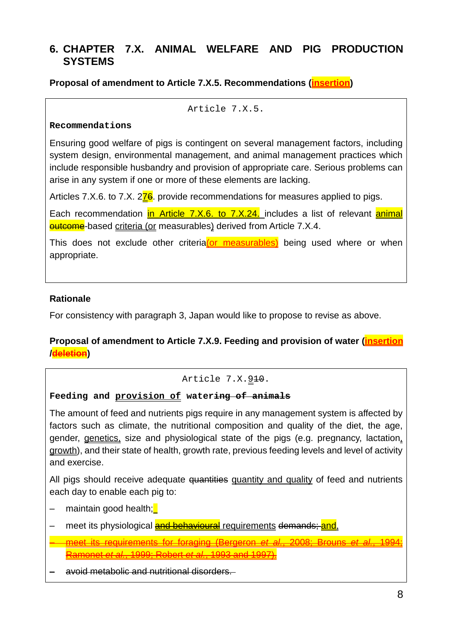# <span id="page-7-0"></span>**6. CHAPTER 7.X. ANIMAL WELFARE AND PIG PRODUCTION SYSTEMS**

**Proposal of amendment to Article 7.X.5. Recommendations (insertion)**

Article 7.X.5.

#### **Recommendations**

Ensuring good welfare of pigs is contingent on several management factors, including system design, environmental management, and animal management practices which include responsible husbandry and provision of appropriate care. Serious problems can arise in any system if one or more of these elements are lacking.

Articles 7.X.6. to 7.X. 276. provide recommendations for measures applied to pigs.

Each recommendation in Article 7.X.6. to 7.X.24. includes a list of relevant animal **outcome**-based criteria (or measurables) derived from Article 7.X.4.

This does not exclude other criteria(or measurables) being used where or when appropriate.

### **Rationale**

For consistency with paragraph 3, Japan would like to propose to revise as above.

## **Proposal of amendment to Article 7.X.9. Feeding and provision of water (insertion /deletion)**

### Article 7.X.910.

#### **Feeding and provision of watering of animals**

The amount of feed and nutrients pigs require in any management system is affected by factors such as climate, the nutritional composition and quality of the diet, the age, gender, genetics, size and physiological state of the pigs (e.g. pregnancy, lactation, growth), and their state of health, growth rate, previous feeding levels and level of activity and exercise.

All pigs should receive adequate quantities quantity and quality of feed and nutrients each day to enable each pig to:

- maintain good health;
- meet its physiological **and behavioural** requirements demands; and,
- ‒ meet its requirements for foraging (Bergeron *et al.*, 2008; Brouns *et al.*, 1994; Ramonet *et al.*, 1999; Robert *et al.*, 1993 and 1997).

#### ‒ avoid metabolic and nutritional disorders.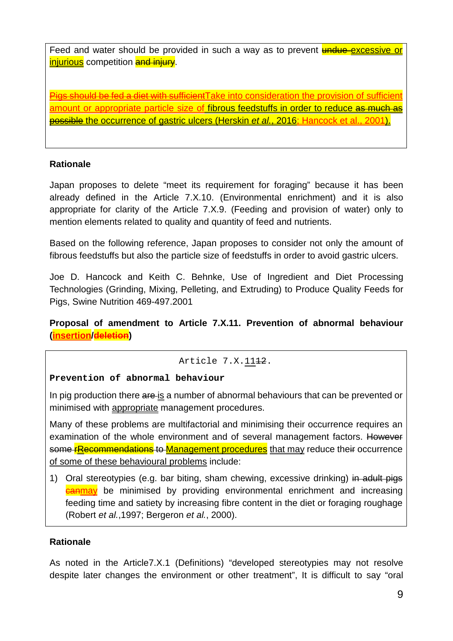Feed and water should be provided in such a way as to prevent undue excessive or injurious competition and injury.

Pigs should be fed a diet with sufficient Take into consideration the provision of sufficient amount or appropriate particle size of fibrous feedstuffs in order to reduce as much as possible the occurrence of gastric ulcers (Herskin *et al.*, 2016; Hancock et al., 2001).

### **Rationale**

Japan proposes to delete "meet its requirement for foraging" because it has been already defined in the Article 7.X.10. (Environmental enrichment) and it is also appropriate for clarity of the Article 7.X.9. (Feeding and provision of water) only to mention elements related to quality and quantity of feed and nutrients.

Based on the following reference, Japan proposes to consider not only the amount of fibrous feedstuffs but also the particle size of feedstuffs in order to avoid gastric ulcers.

Joe D. Hancock and Keith C. Behnke, Use of Ingredient and Diet Processing Technologies (Grinding, Mixing, Pelleting, and Extruding) to Produce Quality Feeds for Pigs, Swine Nutrition 469-497.2001

## **Proposal of amendment to Article 7.X.11. Prevention of abnormal behaviour (insertion/deletion)**

#### Article 7.X. 1142.

#### **Prevention of abnormal behaviour**

In pig production there are is a number of abnormal behaviours that can be prevented or minimised with appropriate management procedures.

Many of these problems are multifactorial and minimising their occurrence requires an examination of the whole environment and of several management factors. However some **rRecommendations** to Management procedures that may reduce their occurrence of some of these behavioural problems include:

1) Oral stereotypies (e.g. bar biting, sham chewing, excessive drinking) in adult pigs **Canmay** be minimised by providing environmental enrichment and increasing feeding time and satiety by increasing fibre content in the diet or foraging roughage (Robert *et al.*,1997; Bergeron *et al.*, 2000).

#### **Rationale**

As noted in the Article7.X.1 (Definitions) "developed stereotypies may not resolve despite later changes the environment or other treatment", It is difficult to say "oral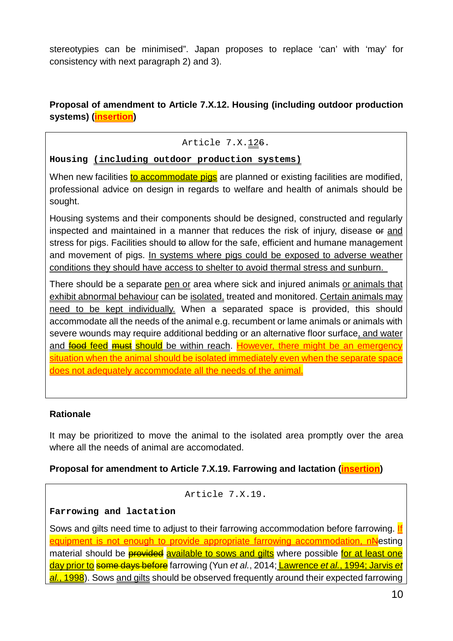stereotypies can be minimised". Japan proposes to replace 'can' with 'may' for consistency with next paragraph 2) and 3).

# **Proposal of amendment to Article 7.X.12. Housing (including outdoor production systems) (insertion)**

### Article 7.X.126.

**Housing (including outdoor production systems)**

When new facilities to accommodate pigs are planned or existing facilities are modified, professional advice on design in regards to welfare and health of animals should be sought.

Housing systems and their components should be designed, constructed and regularly inspected and maintained in a manner that reduces the risk of injury, disease or and stress for pigs. Facilities should to allow for the safe, efficient and humane management and movement of pigs. In systems where pigs could be exposed to adverse weather conditions they should have access to shelter to avoid thermal stress and sunburn.

There should be a separate pen or area where sick and injured animals or animals that exhibit abnormal behaviour can be isolated, treated and monitored. Certain animals may need to be kept individually. When a separated space is provided, this should accommodate all the needs of the animal e.g. recumbent or lame animals or animals with severe wounds may require additional bedding or an alternative floor surface, and water and food feed must should be within reach. However, there might be an emergency situation when the animal should be isolated immediately even when the separate space does not adequately accommodate all the needs of the animal.

### **Rationale**

It may be prioritized to move the animal to the isolated area promptly over the area where all the needs of animal are accomodated.

### **Proposal for amendment to Article 7.X.19. Farrowing and lactation (insertion)**

```
Article 7.X.19.
```
### **Farrowing and lactation**

Sows and gilts need time to adjust to their farrowing accommodation before farrowing. If equipment is not enough to provide appropriate farrowing accommodation, nNesting material should be **provided** available to sows and gilts where possible for at least one day prior to some days before farrowing (Yun *et al.*, 2014; Lawrence *et al.*, 1994; Jarvis *et*  al., 1998). Sows and gilts should be observed frequently around their expected farrowing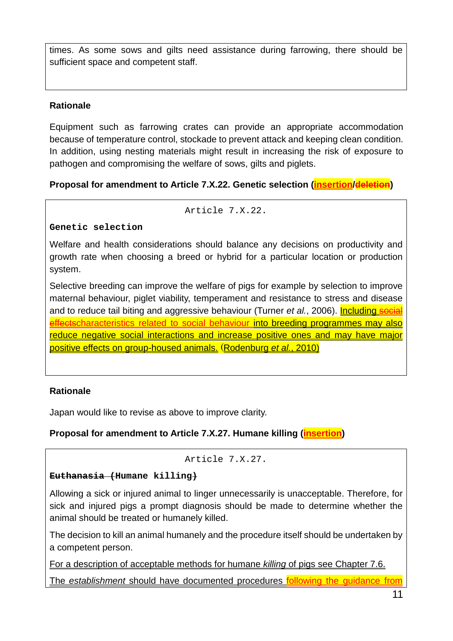times. As some sows and gilts need assistance during farrowing, there should be sufficient space and competent staff.

# **Rationale**

Equipment such as farrowing crates can provide an appropriate accommodation because of temperature control, stockade to prevent attack and keeping clean condition. In addition, using nesting materials might result in increasing the risk of exposure to pathogen and compromising the welfare of sows, gilts and piglets.

# **Proposal for amendment to Article 7.X.22. Genetic selection (insertion/deletion)**

#### Article 7.X.22.

## **Genetic selection**

Welfare and health considerations should balance any decisions on productivity and growth rate when choosing a breed or hybrid for a particular location or production system.

Selective breeding can improve the welfare of pigs for example by selection to improve maternal behaviour, piglet viability, temperament and resistance to stress and disease and to reduce tail biting and aggressive behaviour (Turner *et al.*, 2006). **Including social** effectscharacteristics related to social behaviour into breeding programmes may also reduce negative social interactions and increase positive ones and may have major positive effects on group-housed animals. (Rodenburg *et al.*, 2010)

# **Rationale**

Japan would like to revise as above to improve clarity.

# **Proposal for amendment to Article 7.X.27. Humane killing (insertion)**

#### Article 7.X.27.

### **Euthanasia (Humane killing)**

Allowing a sick or injured animal to linger unnecessarily is unacceptable. Therefore, for sick and injured pigs a prompt diagnosis should be made to determine whether the animal should be treated or humanely killed.

The decision to kill an animal humanely and the procedure itself should be undertaken by a competent person.

For a description of acceptable methods for humane *killing* of pigs see Chapter 7.6.

The *establishment* should have documented procedures following the guidance from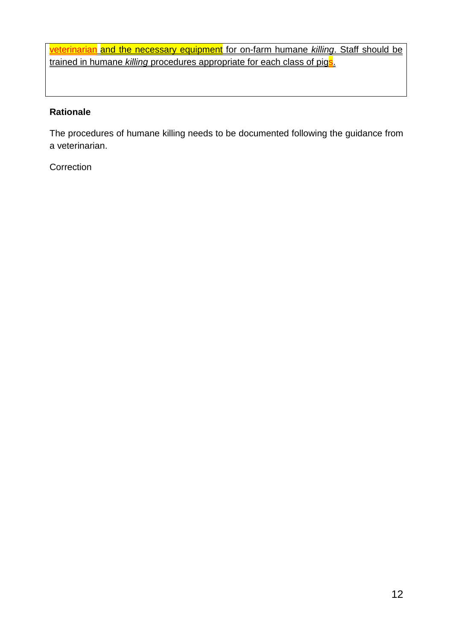veterinarian and the necessary equipment for on-farm humane *killing*. Staff should be trained in humane *killing* procedures appropriate for each class of pigs.

### **Rationale**

The procedures of humane killing needs to be documented following the guidance from a veterinarian.

**Correction**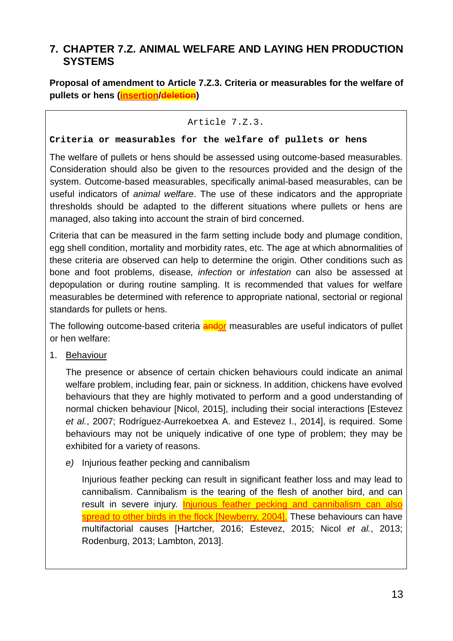# <span id="page-12-0"></span>**7. CHAPTER 7.Z. ANIMAL WELFARE AND LAYING HEN PRODUCTION SYSTEMS**

**Proposal of amendment to Article 7.Z.3. Criteria or measurables for the welfare of pullets or hens (insertion/deletion)**

#### Article 7.Z.3.

#### **Criteria or measurables for the welfare of pullets or hens**

The welfare of pullets or hens should be assessed using outcome-based measurables. Consideration should also be given to the resources provided and the design of the system. Outcome-based measurables, specifically animal-based measurables, can be useful indicators of *animal welfare*. The use of these indicators and the appropriate thresholds should be adapted to the different situations where pullets or hens are managed, also taking into account the strain of bird concerned.

Criteria that can be measured in the farm setting include body and plumage condition, egg shell condition, mortality and morbidity rates, etc. The age at which abnormalities of these criteria are observed can help to determine the origin. Other conditions such as bone and foot problems, disease*, infection* or *infestation* can also be assessed at depopulation or during routine sampling. It is recommended that values for welfare measurables be determined with reference to appropriate national, sectorial or regional standards for pullets or hens.

The following outcome-based criteria **andor** measurables are useful indicators of pullet or hen welfare:

1. Behaviour

The presence or absence of certain chicken behaviours could indicate an animal welfare problem, including fear, pain or sickness. In addition, chickens have evolved behaviours that they are highly motivated to perform and a good understanding of normal chicken behaviour [Nicol, 2015], including their social interactions [Estevez *et al.*, 2007; Rodríguez-Aurrekoetxea A. and Estevez I., 2014], is required. Some behaviours may not be uniquely indicative of one type of problem; they may be exhibited for a variety of reasons.

*e)* Injurious feather pecking and cannibalism

Injurious feather pecking can result in significant feather loss and may lead to cannibalism. Cannibalism is the tearing of the flesh of another bird, and can result in severe injury. Injurious feather pecking and cannibalism can also spread to other birds in the flock [Newberry, 2004]. These behaviours can have multifactorial causes [Hartcher, 2016; Estevez, 2015; Nicol *et al.*, 2013; Rodenburg, 2013; Lambton, 2013].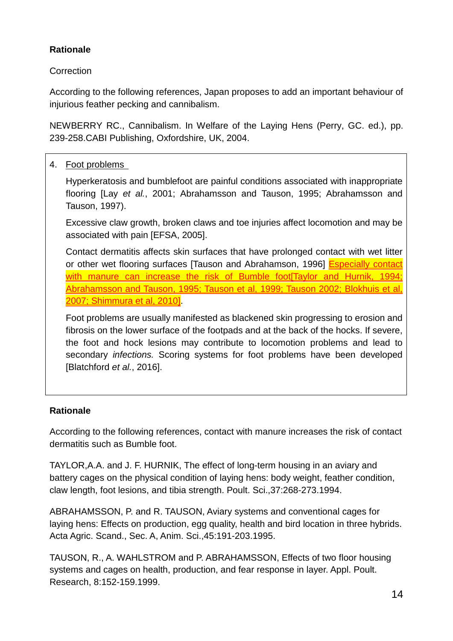# **Rationale**

**Correction** 

According to the following references, Japan proposes to add an important behaviour of injurious feather pecking and cannibalism.

NEWBERRY RC., Cannibalism. In Welfare of the Laying Hens (Perry, GC. ed.), pp. 239-258.CABI Publishing, Oxfordshire, UK, 2004.

# 4. Foot problems

Hyperkeratosis and bumblefoot are painful conditions associated with inappropriate flooring [Lay *et al.*, 2001; Abrahamsson and Tauson, 1995; Abrahamsson and Tauson, 1997).

Excessive claw growth, broken claws and toe injuries affect locomotion and may be associated with pain [EFSA, 2005].

Contact dermatitis affects skin surfaces that have prolonged contact with wet litter or other wet flooring surfaces [Tauson and Abrahamson, 1996] Especially contact with manure can increase the risk of Bumble foot[Taylor and Hurnik, 1994; Abrahamsson and Tauson, 1995; Tauson et al, 1999; Tauson 2002; Blokhuis et al, 2007; Shimmura et al, 2010].

Foot problems are usually manifested as blackened skin progressing to erosion and fibrosis on the lower surface of the footpads and at the back of the hocks. If severe, the foot and hock lesions may contribute to locomotion problems and lead to secondary *infections.* Scoring systems for foot problems have been developed [Blatchford *et al.*, 2016].

# **Rationale**

According to the following references, contact with manure increases the risk of contact dermatitis such as Bumble foot.

TAYLOR,A.A. and J. F. HURNIK, The effect of long-term housing in an aviary and battery cages on the physical condition of laying hens: body weight, feather condition, claw length, foot lesions, and tibia strength. Poult. Sci.,37:268-273.1994.

ABRAHAMSSON, P. and R. TAUSON, Aviary systems and conventional cages for laying hens: Effects on production, egg quality, health and bird location in three hybrids. Acta Agric. Scand., Sec. A, Anim. Sci.,45:191-203.1995.

TAUSON, R., A. WAHLSTROM and P. ABRAHAMSSON, Effects of two floor housing systems and cages on health, production, and fear response in layer. Appl. Poult. Research, 8:152-159.1999.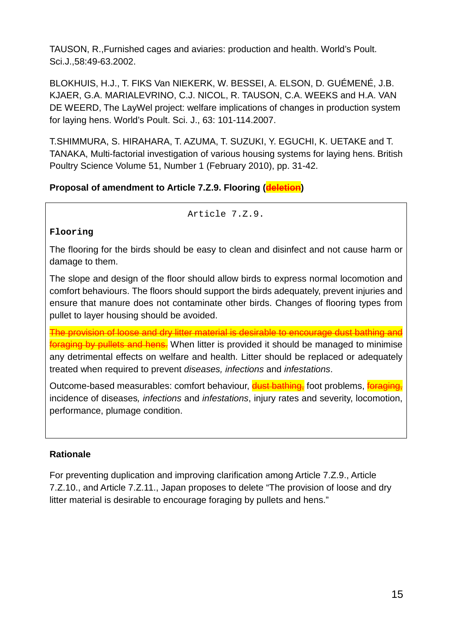TAUSON, R.,Furnished cages and aviaries: production and health. World's Poult. Sci.J.,58:49-63.2002.

BLOKHUIS, H.J., T. FIKS Van NIEKERK, W. BESSEI, A. ELSON, D. GUÉMENÉ, J.B. KJAER, G.A. MARIALEVRINO, C.J. NICOL, R. TAUSON, C.A. WEEKS and H.A. VAN DE WEERD, The LayWel project: welfare implications of changes in production system for laying hens. World's Poult. Sci. J., 63: 101-114.2007.

T.SHIMMURA, S. HIRAHARA, T. AZUMA, T. SUZUKI, Y. EGUCHI, K. UETAKE and T. TANAKA, Multi-factorial investigation of various housing systems for laying hens. British Poultry Science Volume 51, Number 1 (February 2010), pp. 31-42.

# **Proposal of amendment to Article 7.Z.9. Flooring (deletion)**

 $ArtichA 7 7 9$ 

## **Flooring**

The flooring for the birds should be easy to clean and disinfect and not cause harm or damage to them.

The slope and design of the floor should allow birds to express normal locomotion and comfort behaviours. The floors should support the birds adequately, prevent injuries and ensure that manure does not contaminate other birds. Changes of flooring types from pullet to layer housing should be avoided.

The provision of loose and dry litter material is desirable to encourage dust bathing and **foraging by pullets and hens.** When litter is provided it should be managed to minimise any detrimental effects on welfare and health. Litter should be replaced or adequately treated when required to prevent *diseases, infections* and *infestations*.

Outcome-based measurables: comfort behaviour, **dust bathing** foot problems, **foraging** incidence of diseases*, infections* and *infestations*, injury rates and severity, locomotion, performance, plumage condition.

# **Rationale**

For preventing duplication and improving clarification among Article 7.Z.9., Article 7.Z.10., and Article 7.Z.11., Japan proposes to delete "The provision of loose and dry litter material is desirable to encourage foraging by pullets and hens."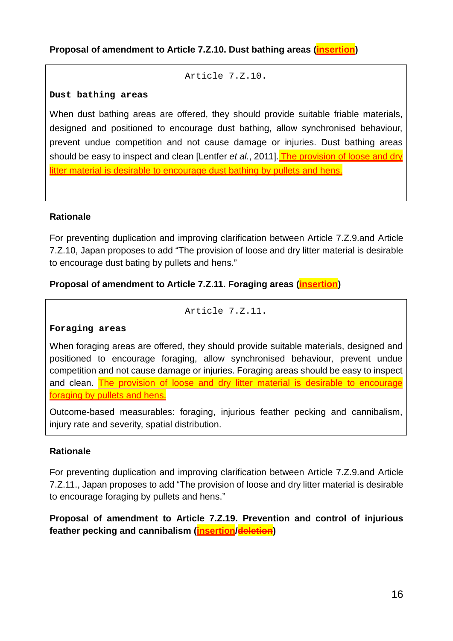```
Article 7.Z.10.
```
#### **Dust bathing areas**

When dust bathing areas are offered, they should provide suitable friable materials, designed and positioned to encourage dust bathing, allow synchronised behaviour, prevent undue competition and not cause damage or injuries. Dust bathing areas should be easy to inspect and clean [Lentfer *et al.*, 2011]. The provision of loose and dry litter material is desirable to encourage dust bathing by pullets and hens.

## **Rationale**

For preventing duplication and improving clarification between Article 7.Z.9.and Article 7.Z.10, Japan proposes to add "The provision of loose and dry litter material is desirable to encourage dust bating by pullets and hens."

# **Proposal of amendment to Article 7.Z.11. Foraging areas (insertion)**

Article 7.Z.11.

### **Foraging areas**

When foraging areas are offered, they should provide suitable materials, designed and positioned to encourage foraging, allow synchronised behaviour, prevent undue competition and not cause damage or injuries. Foraging areas should be easy to inspect and clean. The provision of loose and dry litter material is desirable to encourage foraging by pullets and hens.

Outcome-based measurables: foraging, injurious feather pecking and cannibalism, injury rate and severity, spatial distribution.

# **Rationale**

For preventing duplication and improving clarification between Article 7.Z.9.and Article 7.Z.11., Japan proposes to add "The provision of loose and dry litter material is desirable to encourage foraging by pullets and hens."

# **Proposal of amendment to Article 7.Z.19. Prevention and control of injurious feather pecking and cannibalism (insertion/deletion)**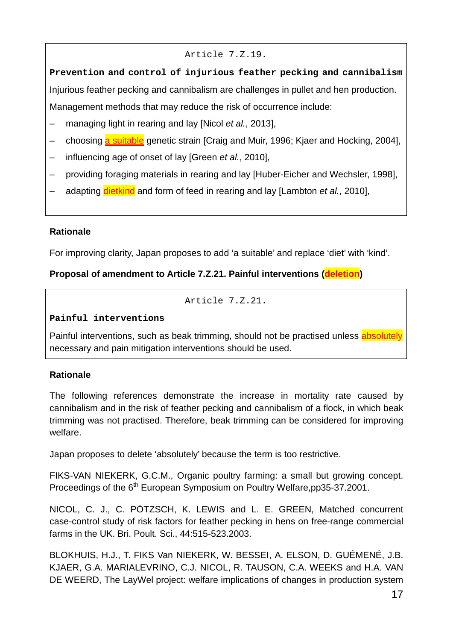### Article 7.Z.19.

**Prevention and control of injurious feather pecking and cannibalism** Injurious feather pecking and cannibalism are challenges in pullet and hen production. Management methods that may reduce the risk of occurrence include:

- ‒ managing light in rearing and lay [Nicol *et al.*, 2013],
- choosing a suitable genetic strain [Craig and Muir, 1996; Kjaer and Hocking, 2004],
- ‒ influencing age of onset of lay [Green *et al.*, 2010],
- ‒ providing foraging materials in rearing and lay [Huber-Eicher and Wechsler, 1998],
- adapting **dietkind** and form of feed in rearing and lay [Lambton *et al.*, 2010],

### **Rationale**

For improving clarity, Japan proposes to add 'a suitable' and replace 'diet' with 'kind'.

# **Proposal of amendment to Article 7.Z.21. Painful interventions (deletion)**

Article 7.Z.21.

#### **Painful interventions**

Painful interventions, such as beak trimming, should not be practised unless absolutely necessary and pain mitigation interventions should be used.

### **Rationale**

The following references demonstrate the increase in mortality rate caused by cannibalism and in the risk of feather pecking and cannibalism of a flock, in which beak trimming was not practised. Therefore, beak trimming can be considered for improving welfare.

Japan proposes to delete 'absolutely' because the term is too restrictive.

FIKS-VAN NIEKERK, G.C.M., Organic poultry farming: a small but growing concept. Proceedings of the 6<sup>th</sup> European Symposium on Poultry Welfare,pp35-37.2001.

NICOL, C. J., C. PÖTZSCH, K. LEWIS and L. E. GREEN, Matched concurrent case-control study of risk factors for feather pecking in hens on free-range commercial farms in the UK. Bri. Poult. Sci., 44:515-523.2003.

BLOKHUIS, H.J., T. FIKS Van NIEKERK, W. BESSEI, A. ELSON, D. GUÉMENÉ, J.B. KJAER, G.A. MARIALEVRINO, C.J. NICOL, R. TAUSON, C.A. WEEKS and H.A. VAN DE WEERD, The LayWel project: welfare implications of changes in production system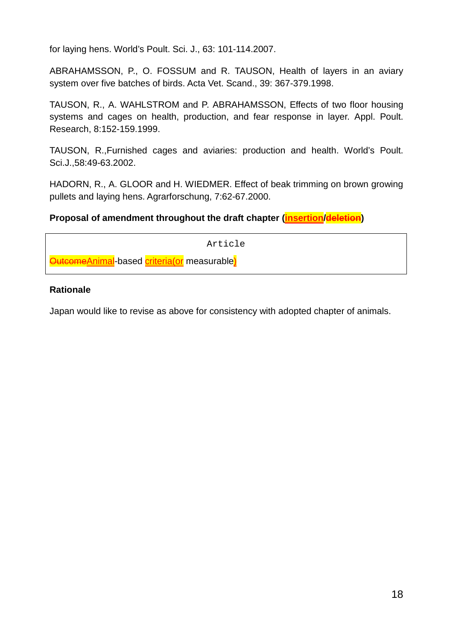for laying hens. World's Poult. Sci. J., 63: 101-114.2007.

ABRAHAMSSON, P., O. FOSSUM and R. TAUSON, Health of layers in an aviary system over five batches of birds. Acta Vet. Scand., 39: 367-379.1998.

TAUSON, R., A. WAHLSTROM and P. ABRAHAMSSON, Effects of two floor housing systems and cages on health, production, and fear response in layer. Appl. Poult. Research, 8:152-159.1999.

TAUSON, R.,Furnished cages and aviaries: production and health. World's Poult. Sci.J.,58:49-63.2002.

HADORN, R., A. GLOOR and H. WIEDMER. Effect of beak trimming on brown growing pullets and laying hens. Agrarforschung, 7:62-67.2000.

### **Proposal of amendment throughout the draft chapter (insertion/deletion)**

Article

**OutcomeAnimal**-based **criteria(or** measurable)

### **Rationale**

Japan would like to revise as above for consistency with adopted chapter of animals.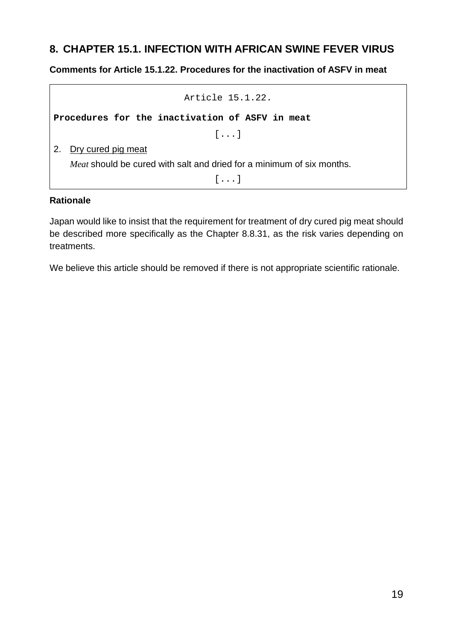# <span id="page-18-0"></span>**8. CHAPTER 15.1. INFECTION WITH AFRICAN SWINE FEVER VIRUS**

### **Comments for Article 15.1.22. Procedures for the inactivation of ASFV in meat**

Article 15.1.22. **Procedures for the inactivation of ASFV in meat** [...] 2. Dry cured pig meat *Meat* should be cured with salt and dried for a minimum of six months.

[...]

#### **Rationale**

Japan would like to insist that the requirement for treatment of dry cured pig meat should be described more specifically as the Chapter 8.8.31, as the risk varies depending on treatments.

We believe this article should be removed if there is not appropriate scientific rationale.